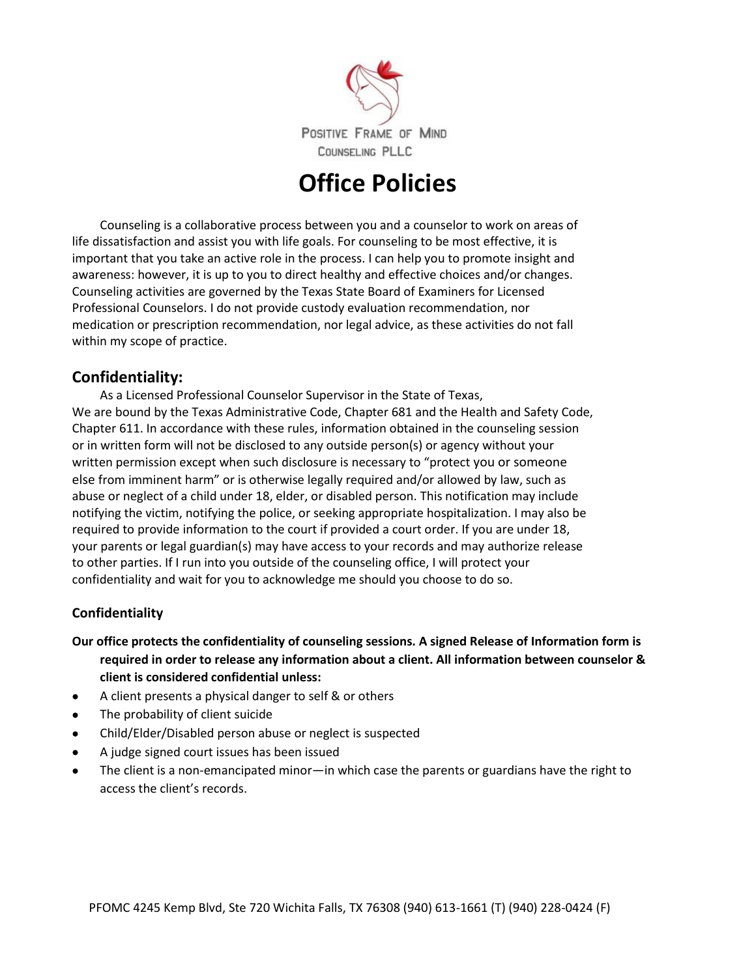

# **Office Policies**

Counseling is a collaborative process between you and a counselor to work on areas of life dissatisfaction and assist you with life goals. For counseling to be most effective, it is important that you take an active role in the process. I can help you to promote insight and awareness: however, it is up to you to direct healthy and effective choices and/or changes. Counseling activities are governed by the Texas State Board of Examiners for Licensed Professional Counselors. I do not provide custody evaluation recommendation, nor medication or prescription recommendation, nor legal advice, as these activities do not fall within my scope of practice.

# **Confidentiality:**

As a Licensed Professional Counselor Supervisor in the State of Texas, We are bound by the Texas Administrative Code, Chapter 681 and the Health and Safety Code, Chapter 611. In accordance with these rules, information obtained in the counseling session or in written form will not be disclosed to any outside person(s) or agency without your written permission except when such disclosure is necessary to "protect you or someone else from imminent harm" or is otherwise legally required and/or allowed by law, such as abuse or neglect of a child under 18, elder, or disabled person. This notification may include notifying the victim, notifying the police, or seeking appropriate hospitalization. I may also be required to provide information to the court if provided a court order. If you are under 18, your parents or legal guardian(s) may have access to your records and may authorize release to other parties. If I run into you outside of the counseling office, I will protect your confidentiality and wait for you to acknowledge me should you choose to do so.

# **Confidentiality**

#### **Our office protects the confidentiality of counseling sessions. A signed Release of Information form is required in order to release any information about a client. All information between counselor & client is considered confidential unless:**

- A client presents a physical danger to self & or others
- The probability of client suicide
- Child/Elder/Disabled person abuse or neglect is suspected
- A judge signed court issues has been issued
- The client is a non-emancipated minor—in which case the parents or guardians have the right to access the client's records.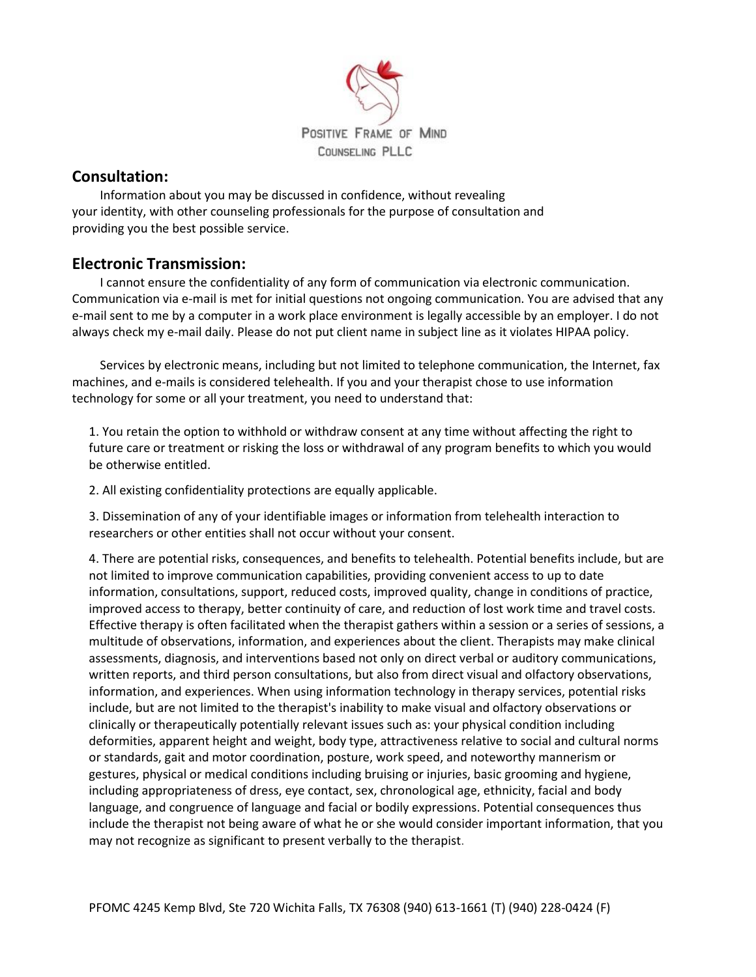

### **Consultation:**

Information about you may be discussed in confidence, without revealing your identity, with other counseling professionals for the purpose of consultation and providing you the best possible service.

# **Electronic Transmission:**

I cannot ensure the confidentiality of any form of communication via electronic communication. Communication via e-mail is met for initial questions not ongoing communication. You are advised that any e-mail sent to me by a computer in a work place environment is legally accessible by an employer. I do not always check my e-mail daily. Please do not put client name in subject line as it violates HIPAA policy.

Services by electronic means, including but not limited to telephone communication, the Internet, fax machines, and e-mails is considered telehealth. If you and your therapist chose to use information technology for some or all your treatment, you need to understand that:

1. You retain the option to withhold or withdraw consent at any time without affecting the right to future care or treatment or risking the loss or withdrawal of any program benefits to which you would be otherwise entitled.

2. All existing confidentiality protections are equally applicable.

3. Dissemination of any of your identifiable images or information from telehealth interaction to researchers or other entities shall not occur without your consent.

4. There are potential risks, consequences, and benefits to telehealth. Potential benefits include, but are not limited to improve communication capabilities, providing convenient access to up to date information, consultations, support, reduced costs, improved quality, change in conditions of practice, improved access to therapy, better continuity of care, and reduction of lost work time and travel costs. Effective therapy is often facilitated when the therapist gathers within a session or a series of sessions, a multitude of observations, information, and experiences about the client. Therapists may make clinical assessments, diagnosis, and interventions based not only on direct verbal or auditory communications, written reports, and third person consultations, but also from direct visual and olfactory observations, information, and experiences. When using information technology in therapy services, potential risks include, but are not limited to the therapist's inability to make visual and olfactory observations or clinically or therapeutically potentially relevant issues such as: your physical condition including deformities, apparent height and weight, body type, attractiveness relative to social and cultural norms or standards, gait and motor coordination, posture, work speed, and noteworthy mannerism or gestures, physical or medical conditions including bruising or injuries, basic grooming and hygiene, including appropriateness of dress, eye contact, sex, chronological age, ethnicity, facial and body language, and congruence of language and facial or bodily expressions. Potential consequences thus include the therapist not being aware of what he or she would consider important information, that you may not recognize as significant to present verbally to the therapist.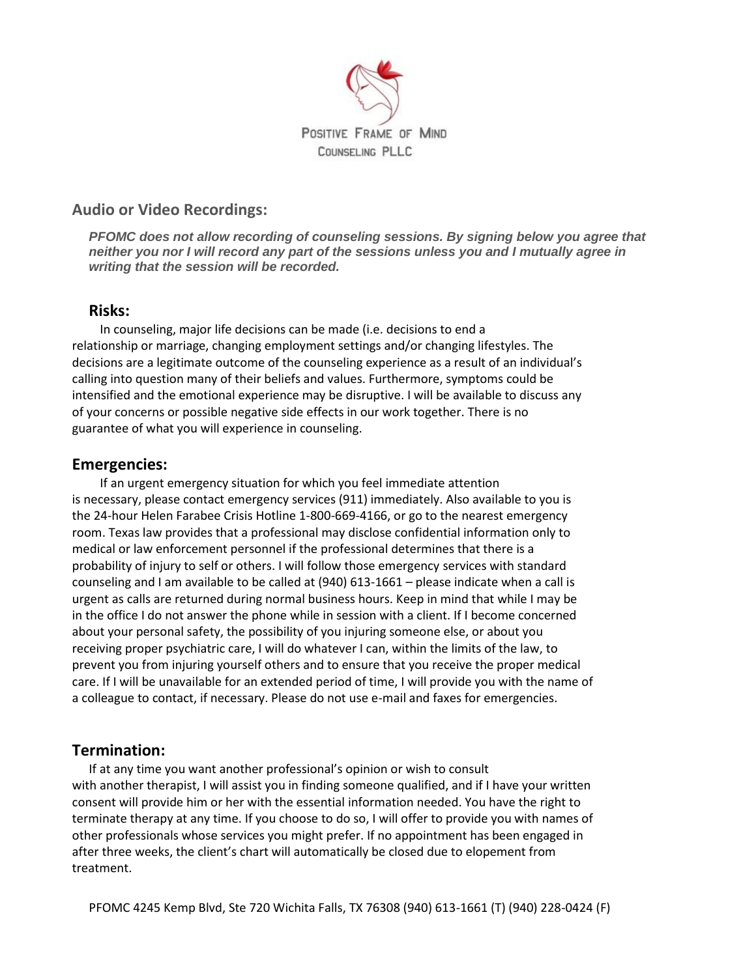

## **Audio or Video Recordings:**

*PFOMC does not allow recording of counseling sessions. By signing below you agree that neither you nor I will record any part of the sessions unless you and I mutually agree in writing that the session will be recorded.*

#### **Risks:**

In counseling, major life decisions can be made (i.e. decisions to end a relationship or marriage, changing employment settings and/or changing lifestyles. The decisions are a legitimate outcome of the counseling experience as a result of an individual's calling into question many of their beliefs and values. Furthermore, symptoms could be intensified and the emotional experience may be disruptive. I will be available to discuss any of your concerns or possible negative side effects in our work together. There is no guarantee of what you will experience in counseling.

## **Emergencies:**

If an urgent emergency situation for which you feel immediate attention is necessary, please contact emergency services (911) immediately. Also available to you is the 24-hour Helen Farabee Crisis Hotline 1-800-669-4166, or go to the nearest emergency room. Texas law provides that a professional may disclose confidential information only to medical or law enforcement personnel if the professional determines that there is a probability of injury to self or others. I will follow those emergency services with standard counseling and I am available to be called at (940) 613-1661 – please indicate when a call is urgent as calls are returned during normal business hours. Keep in mind that while I may be in the office I do not answer the phone while in session with a client. If I become concerned about your personal safety, the possibility of you injuring someone else, or about you receiving proper psychiatric care, I will do whatever I can, within the limits of the law, to prevent you from injuring yourself others and to ensure that you receive the proper medical care. If I will be unavailable for an extended period of time, I will provide you with the name of a colleague to contact, if necessary. Please do not use e-mail and faxes for emergencies.

# **Termination:**

If at any time you want another professional's opinion or wish to consult with another therapist, I will assist you in finding someone qualified, and if I have your written consent will provide him or her with the essential information needed. You have the right to terminate therapy at any time. If you choose to do so, I will offer to provide you with names of other professionals whose services you might prefer. If no appointment has been engaged in after three weeks, the client's chart will automatically be closed due to elopement from treatment.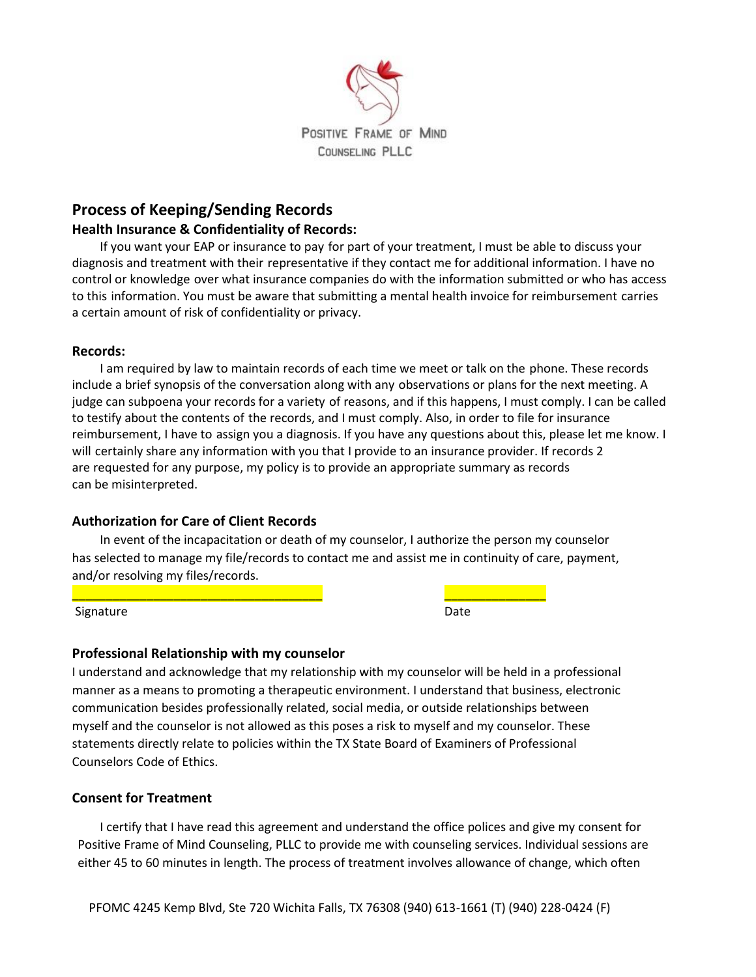

# **Process of Keeping/Sending Records**

#### **Health Insurance & Confidentiality of Records:**

If you want your EAP or insurance to pay for part of your treatment, I must be able to discuss your diagnosis and treatment with their representative if they contact me for additional information. I have no control or knowledge over what insurance companies do with the information submitted or who has access to this information. You must be aware that submitting a mental health invoice for reimbursement carries a certain amount of risk of confidentiality or privacy.

#### **Records:**

I am required by law to maintain records of each time we meet or talk on the phone. These records include a brief synopsis of the conversation along with any observations or plans for the next meeting. A judge can subpoena your records for a variety of reasons, and if this happens, I must comply. I can be called to testify about the contents of the records, and I must comply. Also, in order to file for insurance reimbursement, I have to assign you a diagnosis. If you have any questions about this, please let me know. I will certainly share any information with you that I provide to an insurance provider. If records 2 are requested for any purpose, my policy is to provide an appropriate summary as records can be misinterpreted.

#### **Authorization for Care of Client Records**

In event of the incapacitation or death of my counselor, I authorize the person my counselor has selected to manage my file/records to contact me and assist me in continuity of care, payment, and/or resolving my files/records.

Signature

| <b>.</b><br>---- |  |
|------------------|--|

#### **Professional Relationship with my counselor**

I understand and acknowledge that my relationship with my counselor will be held in a professional manner as a means to promoting a therapeutic environment. I understand that business, electronic communication besides professionally related, social media, or outside relationships between myself and the counselor is not allowed as this poses a risk to myself and my counselor. These statements directly relate to policies within the TX State Board of Examiners of Professional Counselors Code of Ethics.

#### **Consent for Treatment**

I certify that I have read this agreement and understand the office polices and give my consent for Positive Frame of Mind Counseling, PLLC to provide me with counseling services. Individual sessions are either 45 to 60 minutes in length. The process of treatment involves allowance of change, which often